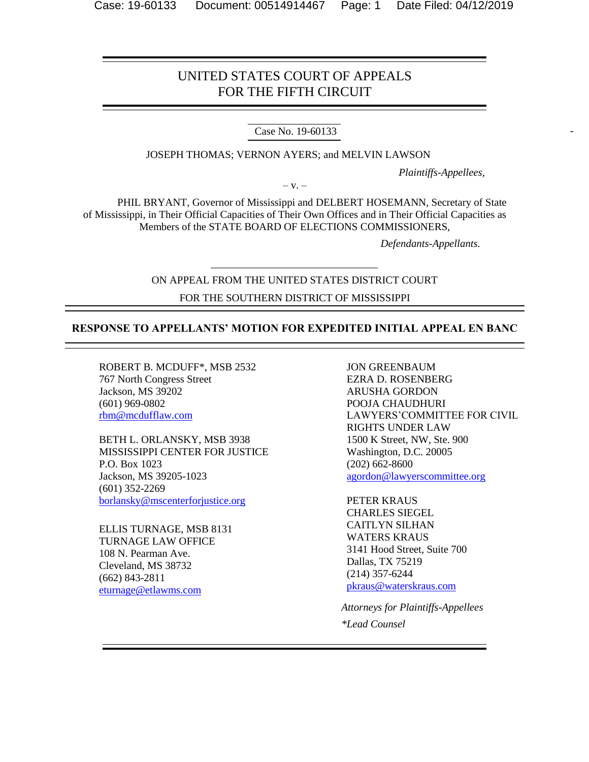## UNITED STATES COURT OF APPEALS FOR THE FIFTH CIRCUIT

Case No. 19-60133

JOSEPH THOMAS; VERNON AYERS; and MELVIN LAWSON

*Plaintiffs-Appellees,*

 $-V. -$ 

PHIL BRYANT, Governor of Mississippi and DELBERT HOSEMANN, Secretary of State of Mississippi, in Their Official Capacities of Their Own Offices and in Their Official Capacities as Members of the STATE BOARD OF ELECTIONS COMMISSIONERS,

 *Defendants-Appellants.*

# ON APPEAL FROM THE UNITED STATES DISTRICT COURT FOR THE SOUTHERN DISTRICT OF MISSISSIPPI

## **RESPONSE TO APPELLANTS' MOTION FOR EXPEDITED INITIAL APPEAL EN BANC**

ROBERT B. MCDUFF\*, MSB 2532 767 North Congress Street Jackson, MS 39202 (601) 969-0802 [rbm@mcdufflaw.com](mailto:rbm@mcdufflaw.com)

BETH L. ORLANSKY, MSB 3938 MISSISSIPPI CENTER FOR JUSTICE P.O. Box 1023 Jackson, MS 39205-1023 (601) 352-2269 [borlansky@mscenterforjustice.org](mailto:borlansky@mscenterforjustice.org)

ELLIS TURNAGE, MSB 8131 TURNAGE LAW OFFICE 108 N. Pearman Ave. Cleveland, MS 38732 (662) 843-2811 [eturnage@etlawms.com](mailto:eturnage@etlawms.com)

JON GREENBAUM EZRA D. ROSENBERG ARUSHA GORDON POOJA CHAUDHURI LAWYERS'COMMITTEE FOR CIVIL RIGHTS UNDER LAW 1500 K Street, NW, Ste. 900 Washington, D.C. 20005 (202) 662-8600 [agordon@lawyerscommittee.org](mailto:agordon@lawyerscommittee.org)

PETER KRAUS CHARLES SIEGEL CAITLYN SILHAN WATERS KRAUS 3141 Hood Street, Suite 700 Dallas, TX 75219 (214) 357-6244 [pkraus@waterskraus.com](mailto:pkraus@waterskraus.com) 

*Attorneys for Plaintiffs-Appellees \*Lead Counsel*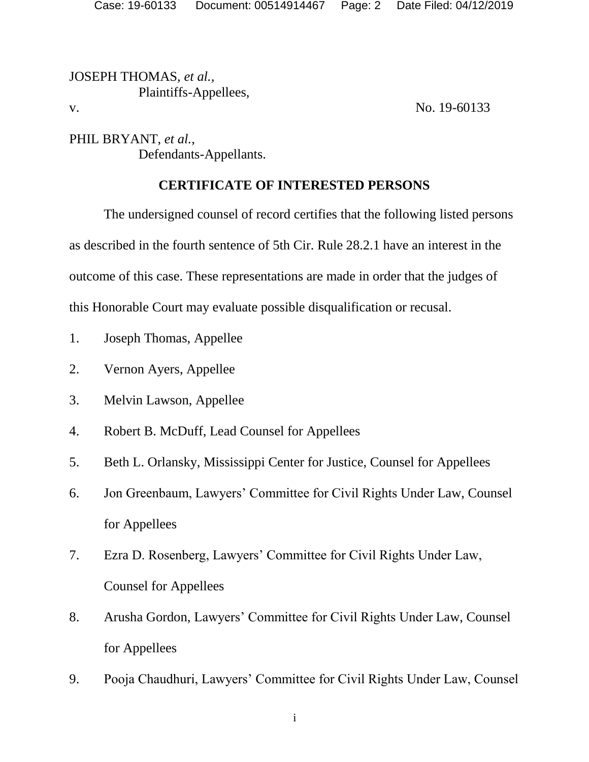JOSEPH THOMAS, *et al.,* Plaintiffs-Appellees, v. No. 19-60133

PHIL BRYANT, *et al.*, Defendants-Appellants.

# **CERTIFICATE OF INTERESTED PERSONS**

The undersigned counsel of record certifies that the following listed persons as described in the fourth sentence of 5th Cir. Rule 28.2.1 have an interest in the outcome of this case. These representations are made in order that the judges of this Honorable Court may evaluate possible disqualification or recusal.

- 1. Joseph Thomas, Appellee
- 2. Vernon Ayers, Appellee
- 3. Melvin Lawson, Appellee
- 4. Robert B. McDuff, Lead Counsel for Appellees
- 5. Beth L. Orlansky, Mississippi Center for Justice, Counsel for Appellees
- 6. Jon Greenbaum, Lawyers' Committee for Civil Rights Under Law, Counsel for Appellees
- 7. Ezra D. Rosenberg, Lawyers' Committee for Civil Rights Under Law, Counsel for Appellees
- 8. Arusha Gordon, Lawyers' Committee for Civil Rights Under Law, Counsel for Appellees
- 9. Pooja Chaudhuri, Lawyers' Committee for Civil Rights Under Law, Counsel

i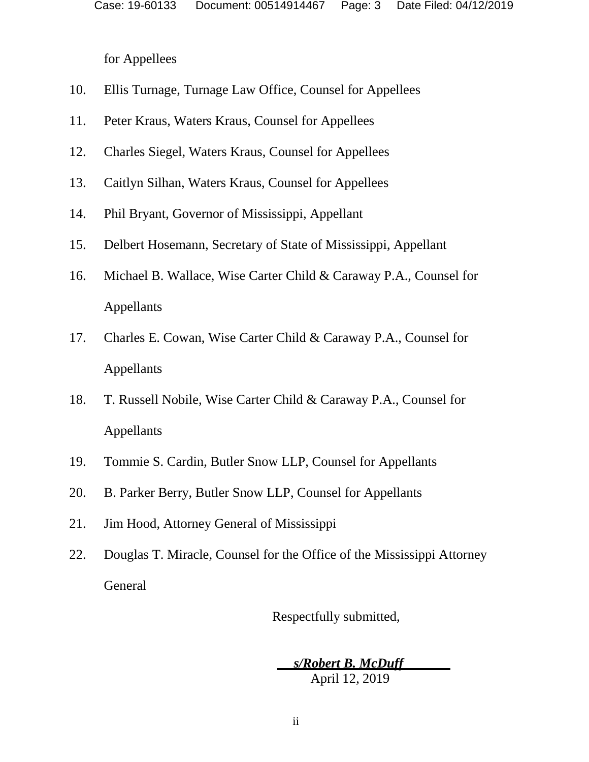for Appellees

- 10. Ellis Turnage, Turnage Law Office, Counsel for Appellees
- 11. Peter Kraus, Waters Kraus, Counsel for Appellees
- 12. Charles Siegel, Waters Kraus, Counsel for Appellees
- 13. Caitlyn Silhan, Waters Kraus, Counsel for Appellees
- 14. Phil Bryant, Governor of Mississippi, Appellant
- 15. Delbert Hosemann, Secretary of State of Mississippi, Appellant
- 16. Michael B. Wallace, Wise Carter Child & Caraway P.A., Counsel for Appellants
- 17. Charles E. Cowan, Wise Carter Child & Caraway P.A., Counsel for Appellants
- 18. T. Russell Nobile, Wise Carter Child & Caraway P.A., Counsel for Appellants
- 19. Tommie S. Cardin, Butler Snow LLP, Counsel for Appellants
- 20. B. Parker Berry, Butler Snow LLP, Counsel for Appellants
- 21. Jim Hood, Attorney General of Mississippi
- 22. Douglas T. Miracle, Counsel for the Office of the Mississippi Attorney General

Respectfully submitted,

 *s/Robert B. McDuff* April 12, 2019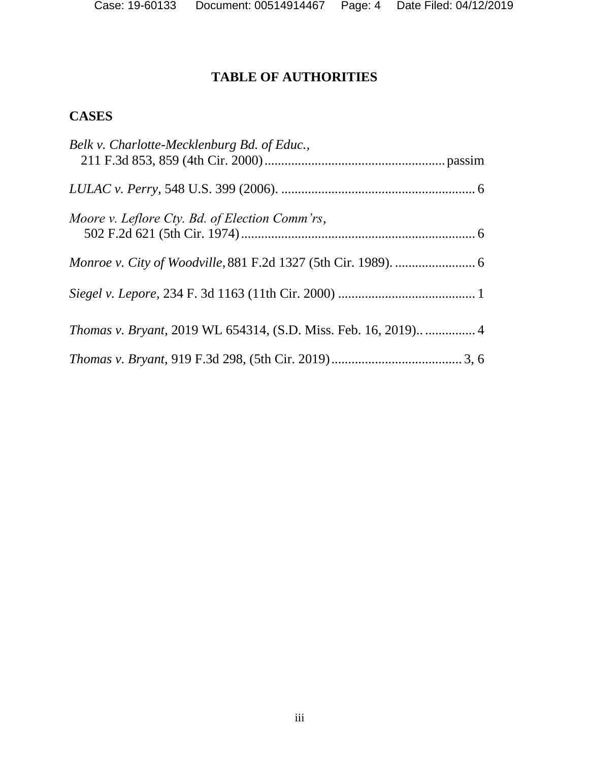# **TABLE OF AUTHORITIES**

# **CASES**

| Belk v. Charlotte-Mecklenburg Bd. of Educ.,                           |
|-----------------------------------------------------------------------|
|                                                                       |
| Moore v. Leflore Cty. Bd. of Election Comm'rs,                        |
|                                                                       |
|                                                                       |
| <i>Thomas v. Bryant, 2019 WL 654314, (S.D. Miss. Feb. 16, 2019)</i> 4 |
|                                                                       |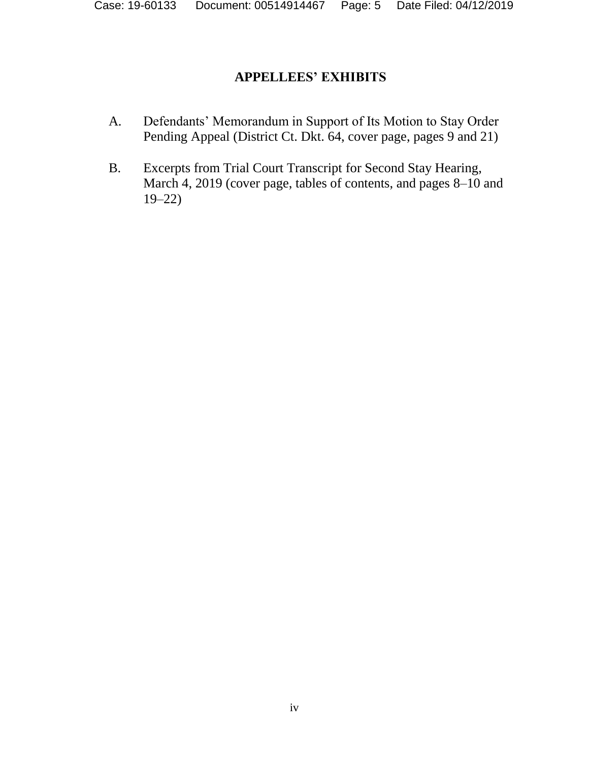# **APPELLEES' EXHIBITS**

- A. Defendants' Memorandum in Support of Its Motion to Stay Order Pending Appeal (District Ct. Dkt. 64, cover page, pages 9 and 21)
- B. Excerpts from Trial Court Transcript for Second Stay Hearing, March 4, 2019 (cover page, tables of contents, and pages 8–10 and 19–22)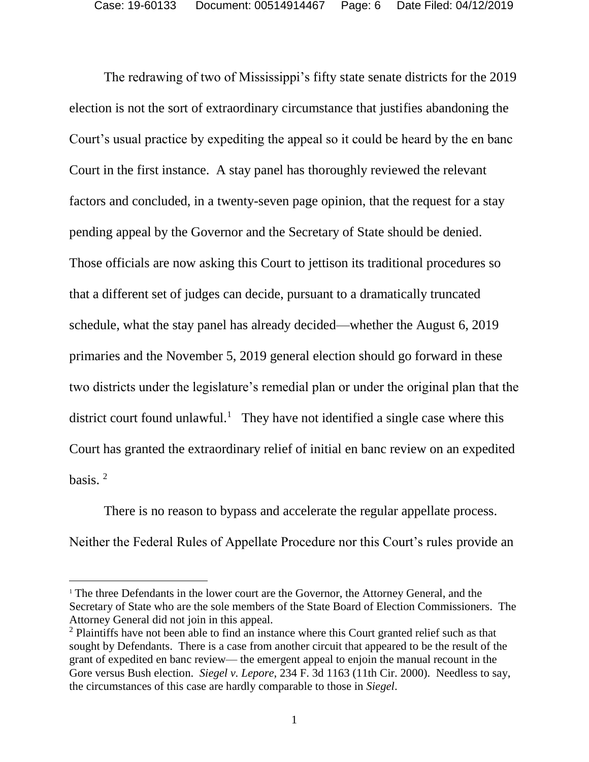The redrawing of two of Mississippi's fifty state senate districts for the 2019 election is not the sort of extraordinary circumstance that justifies abandoning the Court's usual practice by expediting the appeal so it could be heard by the en banc Court in the first instance. A stay panel has thoroughly reviewed the relevant factors and concluded, in a twenty-seven page opinion, that the request for a stay pending appeal by the Governor and the Secretary of State should be denied. Those officials are now asking this Court to jettison its traditional procedures so that a different set of judges can decide, pursuant to a dramatically truncated schedule, what the stay panel has already decided—whether the August 6, 2019 primaries and the November 5, 2019 general election should go forward in these two districts under the legislature's remedial plan or under the original plan that the district court found unlawful.<sup>1</sup> They have not identified a single case where this Court has granted the extraordinary relief of initial en banc review on an expedited basis.  $2$ 

There is no reason to bypass and accelerate the regular appellate process. Neither the Federal Rules of Appellate Procedure nor this Court's rules provide an

 $\overline{a}$ 

<sup>&</sup>lt;sup>1</sup> The three Defendants in the lower court are the Governor, the Attorney General, and the Secretary of State who are the sole members of the State Board of Election Commissioners. The Attorney General did not join in this appeal.

<sup>&</sup>lt;sup>2</sup> Plaintiffs have not been able to find an instance where this Court granted relief such as that sought by Defendants. There is a case from another circuit that appeared to be the result of the grant of expedited en banc review— the emergent appeal to enjoin the manual recount in the Gore versus Bush election. *Siegel v. Lepore*, 234 F. 3d 1163 (11th Cir. 2000). Needless to say, the circumstances of this case are hardly comparable to those in *Siegel*.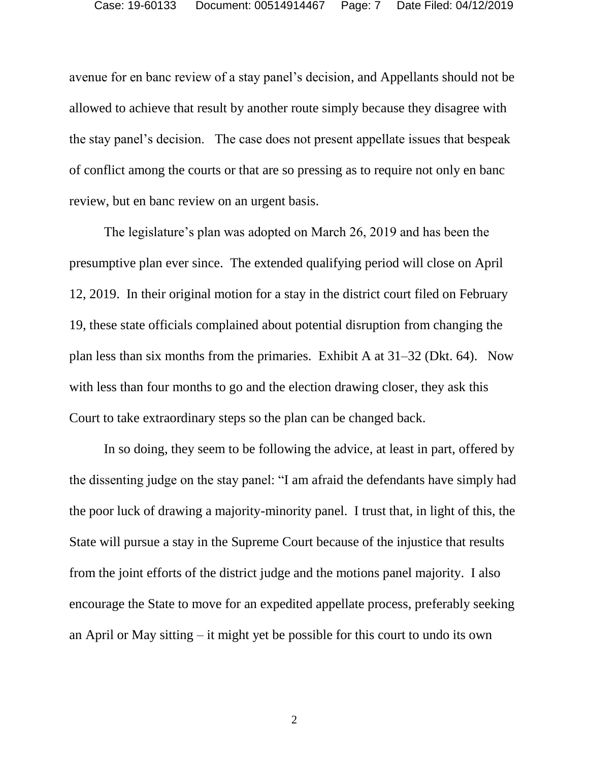avenue for en banc review of a stay panel's decision, and Appellants should not be allowed to achieve that result by another route simply because they disagree with the stay panel's decision. The case does not present appellate issues that bespeak of conflict among the courts or that are so pressing as to require not only en banc review, but en banc review on an urgent basis.

The legislature's plan was adopted on March 26, 2019 and has been the presumptive plan ever since. The extended qualifying period will close on April 12, 2019. In their original motion for a stay in the district court filed on February 19, these state officials complained about potential disruption from changing the plan less than six months from the primaries. Exhibit A at 31–32 (Dkt. 64). Now with less than four months to go and the election drawing closer, they ask this Court to take extraordinary steps so the plan can be changed back.

In so doing, they seem to be following the advice, at least in part, offered by the dissenting judge on the stay panel: "I am afraid the defendants have simply had the poor luck of drawing a majority-minority panel. I trust that, in light of this, the State will pursue a stay in the Supreme Court because of the injustice that results from the joint efforts of the district judge and the motions panel majority. I also encourage the State to move for an expedited appellate process, preferably seeking an April or May sitting – it might yet be possible for this court to undo its own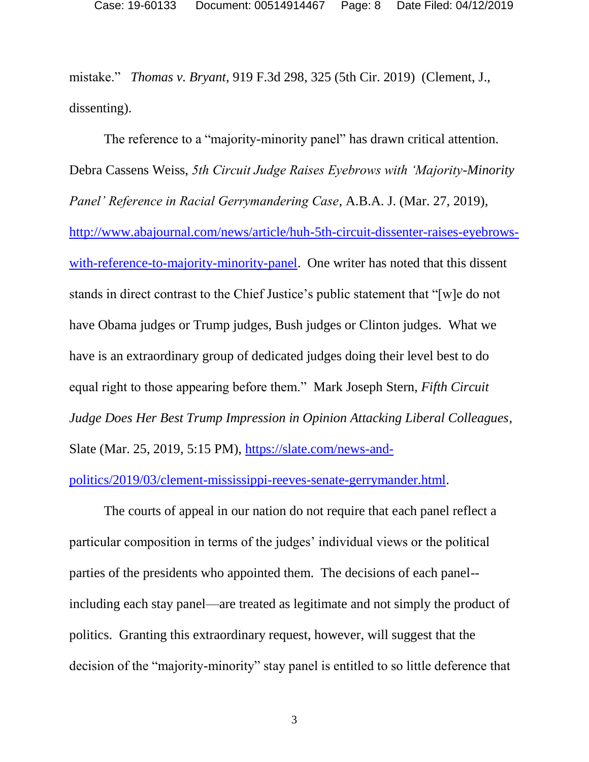mistake." *Thomas v. Bryant,* 919 F.3d 298, 325 (5th Cir. 2019) (Clement, J., dissenting).

The reference to a "majority-minority panel" has drawn critical attention. Debra Cassens Weiss, *5th Circuit Judge Raises Eyebrows with 'Majority-Minority Panel' Reference in Racial Gerrymandering Case*, A.B.A. J. (Mar. 27, 2019), [http://www.abajournal.com/news/article/huh-5th-circuit-dissenter-raises-eyebrows](http://www.abajournal.com/news/article/huh-5th-circuit-dissenter-raises-eyebrows-with-reference-to-majority-minority-panel)[with-reference-to-majority-minority-panel.](http://www.abajournal.com/news/article/huh-5th-circuit-dissenter-raises-eyebrows-with-reference-to-majority-minority-panel) One writer has noted that this dissent stands in direct contrast to the Chief Justice's public statement that "[w]e do not have Obama judges or Trump judges, Bush judges or Clinton judges. What we have is an extraordinary group of dedicated judges doing their level best to do equal right to those appearing before them." Mark Joseph Stern, *Fifth Circuit Judge Does Her Best Trump Impression in Opinion Attacking Liberal Colleagues*, Slate (Mar. 25, 2019, 5:15 PM), [https://slate.com/news-and-](https://slate.com/news-and-politics/2019/03/clement-mississippi-reeves-senate-gerrymander.html)

[politics/2019/03/clement-mississippi-reeves-senate-gerrymander.html.](https://slate.com/news-and-politics/2019/03/clement-mississippi-reeves-senate-gerrymander.html)

The courts of appeal in our nation do not require that each panel reflect a particular composition in terms of the judges' individual views or the political parties of the presidents who appointed them. The decisions of each panel- including each stay panel—are treated as legitimate and not simply the product of politics. Granting this extraordinary request, however, will suggest that the decision of the "majority-minority" stay panel is entitled to so little deference that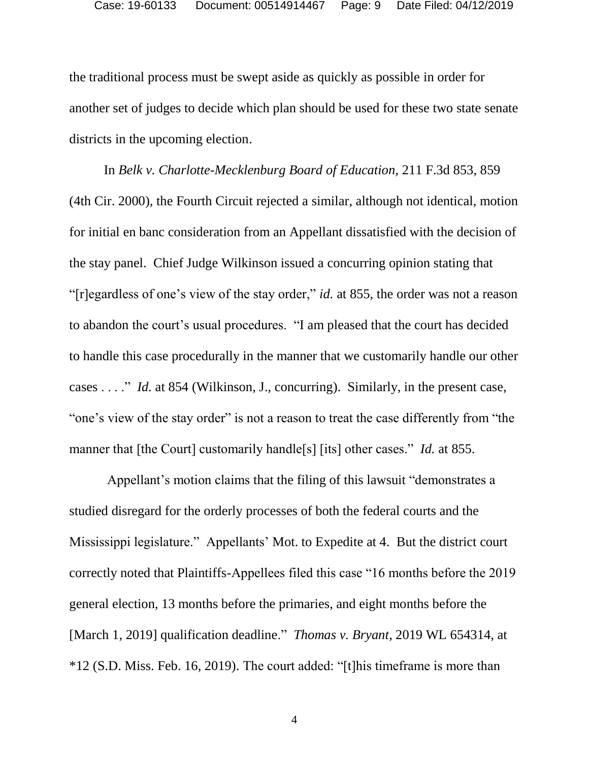the traditional process must be swept aside as quickly as possible in order for another set of judges to decide which plan should be used for these two state senate districts in the upcoming election.

In *Belk v. Charlotte-Mecklenburg Board of Education,* 211 F.3d 853, 859 (4th Cir. 2000), the Fourth Circuit rejected a similar, although not identical, motion for initial en banc consideration from an Appellant dissatisfied with the decision of the stay panel. Chief Judge Wilkinson issued a concurring opinion stating that "[r]egardless of one's view of the stay order," *id.* at 855, the order was not a reason to abandon the court's usual procedures. "I am pleased that the court has decided to handle this case procedurally in the manner that we customarily handle our other cases . . . ." *Id.* at 854 (Wilkinson, J., concurring). Similarly, in the present case, "one's view of the stay order" is not a reason to treat the case differently from "the manner that [the Court] customarily handle[s] [its] other cases." *Id.* at 855.

Appellant's motion claims that the filing of this lawsuit "demonstrates a studied disregard for the orderly processes of both the federal courts and the Mississippi legislature." Appellants' Mot. to Expedite at 4. But the district court correctly noted that Plaintiffs-Appellees filed this case "16 months before the 2019 general election, 13 months before the primaries, and eight months before the [March 1, 2019] qualification deadline." *[Thomas v. Bryant](https://1.next.westlaw.com/Link/Document/FullText?findType=Y&serNum=2047557381&pubNum=0000999&originatingDoc=I511dfb604d0711e9bc469b767245e66a&refType=RP&originationContext=document&transitionType=DocumentItem&contextData=(sc.UserEnteredCitation))*, 2019 WL 654314, at [\\*12 \(S.D. Miss. Feb. 16, 2019\).](https://1.next.westlaw.com/Link/Document/FullText?findType=Y&serNum=2047557381&pubNum=0000999&originatingDoc=I511dfb604d0711e9bc469b767245e66a&refType=RP&originationContext=document&transitionType=DocumentItem&contextData=(sc.UserEnteredCitation)) The court added: "[t]his timeframe is more than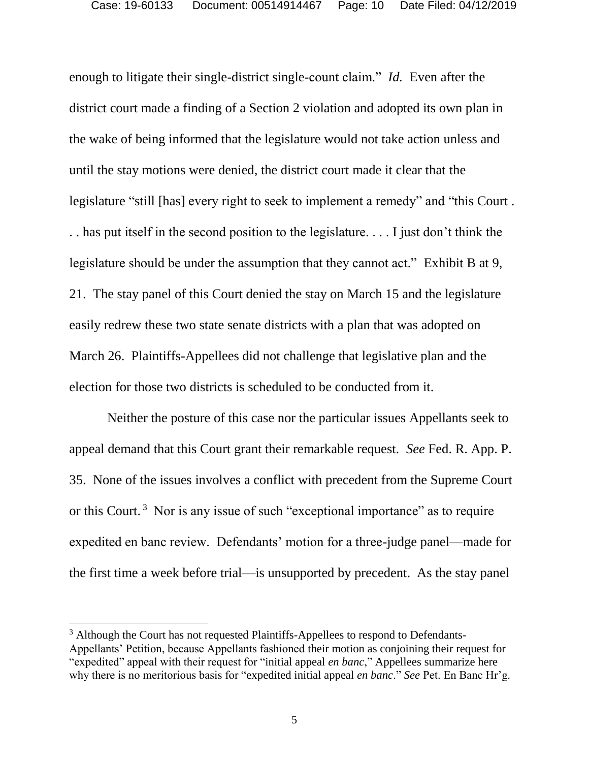enough to litigate their single-district single-count claim." *Id.* Even after the district court made a finding of a Section 2 violation and adopted its own plan in the wake of being informed that the legislature would not take action unless and until the stay motions were denied, the district court made it clear that the legislature "still [has] every right to seek to implement a remedy" and "this Court . . . has put itself in the second position to the legislature. . . . I just don't think the legislature should be under the assumption that they cannot act." Exhibit B at 9, 21. The stay panel of this Court denied the stay on March 15 and the legislature easily redrew these two state senate districts with a plan that was adopted on March 26. Plaintiffs-Appellees did not challenge that legislative plan and the election for those two districts is scheduled to be conducted from it.

Neither the posture of this case nor the particular issues Appellants seek to appeal demand that this Court grant their remarkable request. *See* Fed. R. App. P. 35. None of the issues involves a conflict with precedent from the Supreme Court or this Court.<sup>3</sup> Nor is any issue of such "exceptional importance" as to require expedited en banc review. Defendants' motion for a three-judge panel—made for the first time a week before trial—is unsupported by precedent. As the stay panel

 $\overline{a}$ 

<sup>&</sup>lt;sup>3</sup> Although the Court has not requested Plaintiffs-Appellees to respond to Defendants-Appellants' Petition, because Appellants fashioned their motion as conjoining their request for "expedited" appeal with their request for "initial appeal *en banc*," Appellees summarize here why there is no meritorious basis for "expedited initial appeal *en banc*." *See* Pet. En Banc Hr'g.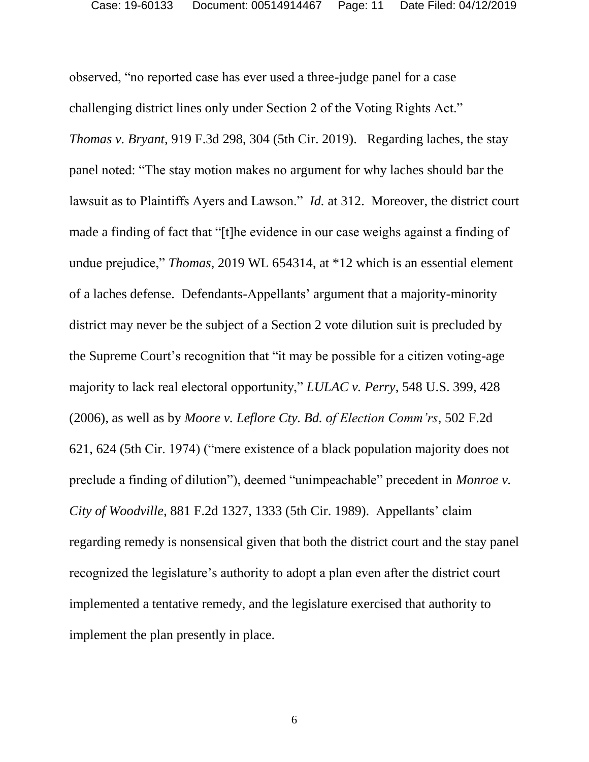observed, "no reported case has ever used a three-judge panel for a case challenging district lines only under Section 2 of the Voting Rights Act." *Thomas v. Bryant,* 919 F.3d 298, 304 (5th Cir. 2019). Regarding laches, the stay panel noted: "The stay motion makes no argument for why laches should bar the lawsuit as to Plaintiffs Ayers and Lawson." *Id.* at 312. Moreover, the district court made a finding of fact that "[t]he evidence in our case weighs against a finding of undue prejudice," *Thomas*, 2019 WL 654314, at \*12 which is an essential element of a laches defense. Defendants-Appellants' argument that a majority-minority district may never be the subject of a Section 2 vote dilution suit is precluded by the Supreme Court's recognition that "it may be possible for a citizen voting-age majority to lack real electoral opportunity," *LULAC v. Perry*, 548 U.S. 399, 428 (2006), as well as by *Moore v. Leflore Cty. Bd. of Election Comm'rs*, 502 F.2d 621, 624 (5th Cir. 1974) ("mere existence of a black population majority does not preclude a finding of dilution"), deemed "unimpeachable" precedent in *Monroe v. City of Woodville*, 881 F.2d 1327, 1333 (5th Cir. 1989). Appellants' claim regarding remedy is nonsensical given that both the district court and the stay panel recognized the legislature's authority to adopt a plan even after the district court implemented a tentative remedy, and the legislature exercised that authority to implement the plan presently in place.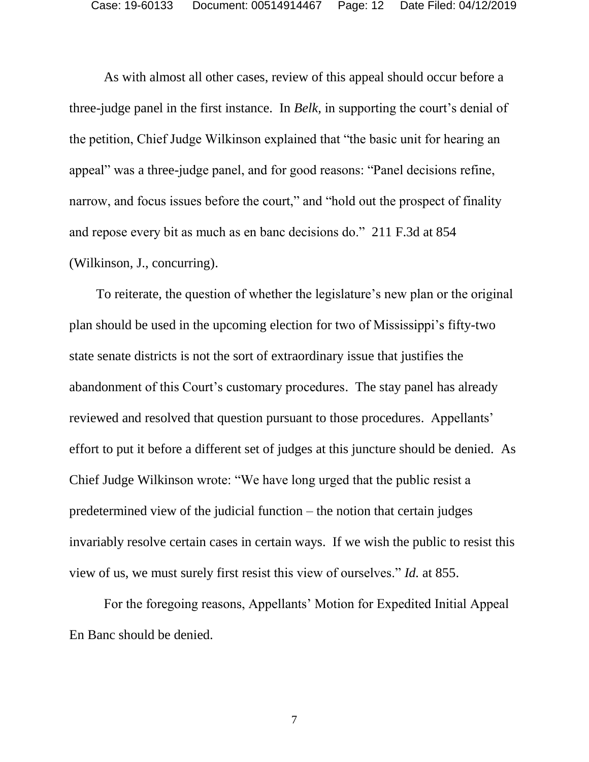As with almost all other cases, review of this appeal should occur before a three-judge panel in the first instance. In *Belk,* in supporting the court's denial of the petition, Chief Judge Wilkinson explained that "the basic unit for hearing an appeal" was a three-judge panel, and for good reasons: "Panel decisions refine, narrow, and focus issues before the court," and "hold out the prospect of finality and repose every bit as much as en banc decisions do." 211 F.3d at 854 (Wilkinson, J., concurring).

 To reiterate, the question of whether the legislature's new plan or the original plan should be used in the upcoming election for two of Mississippi's fifty-two state senate districts is not the sort of extraordinary issue that justifies the abandonment of this Court's customary procedures. The stay panel has already reviewed and resolved that question pursuant to those procedures. Appellants' effort to put it before a different set of judges at this juncture should be denied. As Chief Judge Wilkinson wrote: "We have long urged that the public resist a predetermined view of the judicial function – the notion that certain judges invariably resolve certain cases in certain ways. If we wish the public to resist this view of us, we must surely first resist this view of ourselves." *Id.* at 855.

For the foregoing reasons, Appellants' Motion for Expedited Initial Appeal En Banc should be denied.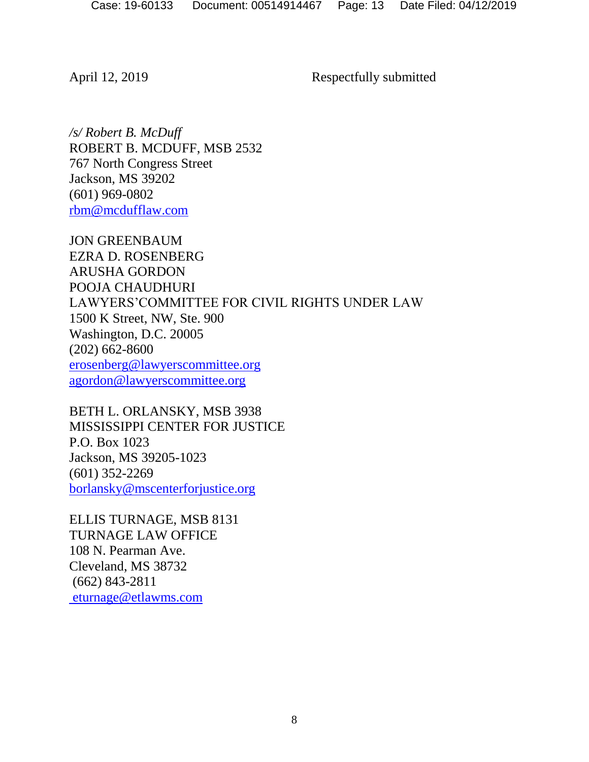April 12, 2019 Respectfully submitted

*/s/ Robert B. McDuff* ROBERT B. MCDUFF, MSB 2532 767 North Congress Street Jackson, MS 39202 (601) 969-0802 [rbm@mcdufflaw.com](mailto:rbm@mcdufflaw.com)

JON GREENBAUM EZRA D. ROSENBERG ARUSHA GORDON POOJA CHAUDHURI LAWYERS'COMMITTEE FOR CIVIL RIGHTS UNDER LAW 1500 K Street, NW, Ste. 900 Washington, D.C. 20005 (202) 662-8600 [erosenberg@lawyerscommittee.org](mailto:erosenberg@lawyerscommittee.org) [agordon@lawyerscommittee.org](mailto:agordon@lawyerscommittee.org)

BETH L. ORLANSKY, MSB 3938 MISSISSIPPI CENTER FOR JUSTICE P.O. Box 1023 Jackson, MS 39205-1023 (601) 352-2269 [borlansky@mscenterforjustice.org](mailto:borlansky@mscenterforjustice.org)

ELLIS TURNAGE, MSB 8131 TURNAGE LAW OFFICE 108 N. Pearman Ave. Cleveland, MS 38732 (662) 843-2811 [eturnage@etlawms.com](mailto:eturnage@etlawms.com)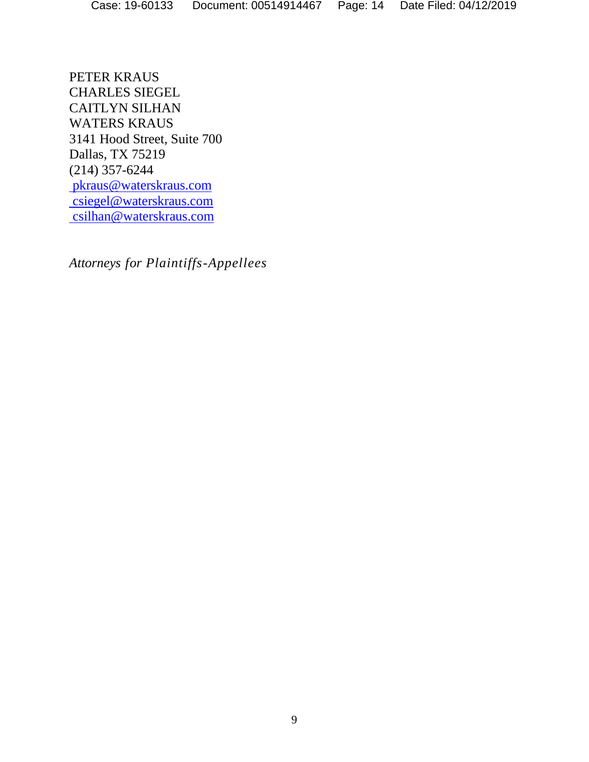PETER KRAUS CHARLES SIEGEL CAITLYN SILHAN WATERS KRAUS 3141 Hood Street, Suite 700 Dallas, TX 75219 (214) 357-6244 [pkraus@waterskraus.com](mailto:pkraus@waterskraus.com) [csiegel@waterskraus.com](mailto:csiegel@waterskraus.com) [csilhan@waterskraus.com](mailto:csilhan@waterskraus.com)

*Attorneys for Plaintiffs-Appellees*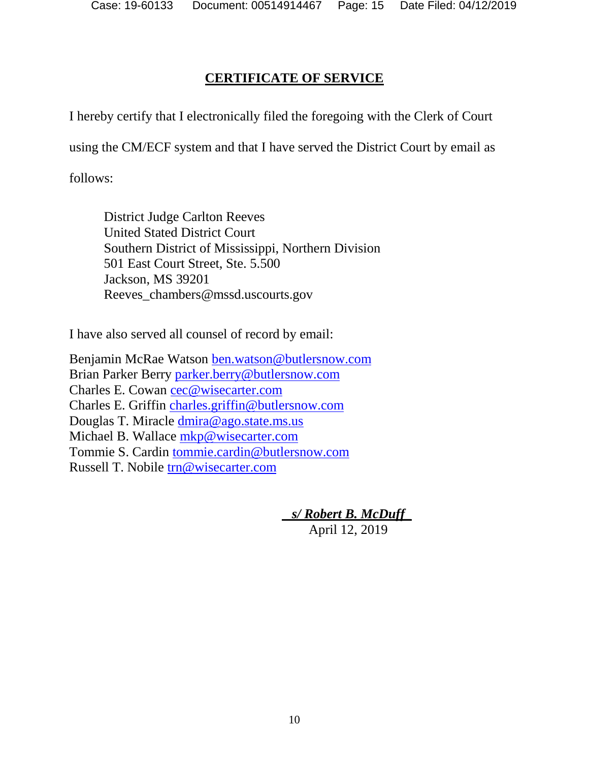# **CERTIFICATE OF SERVICE**

I hereby certify that I electronically filed the foregoing with the Clerk of Court

using the CM/ECF system and that I have served the District Court by email as

follows:

District Judge Carlton Reeves United Stated District Court Southern District of Mississippi, Northern Division 501 East Court Street, Ste. 5.500 Jackson, MS 39201 Reeves\_chambers@mssd.uscourts.gov

I have also served all counsel of record by email:

Benjamin McRae Watson [ben.watson@butlersnow.com](mailto:ben.watson@butlersnow.com) Brian Parker Berry [parker.berry@butlersnow.com](mailto:parker.berry@butlersnow.com) Charles E. Cowan [cec@wisecarter.com](mailto:cec@wisecarter.com) Charles E. Griffin [charles.griffin@butlersnow.com](mailto:charles.griffin@butlersnow.com) Douglas T. Miracle [dmira@ago.state.ms.us](mailto:dmira@ago.state.ms.us)  Michael B. Wallace [mkp@wisecarter.com](mailto:mkp@wisecarter.com) Tommie S. Cardin [tommie.cardin@butlersnow.com](mailto:tommie.cardin@butlersnow.com) Russell T. Nobile [trn@wisecarter.com](mailto:trn@wisecarter.com)

> *s/ Robert B. McDuff\_* April 12, 2019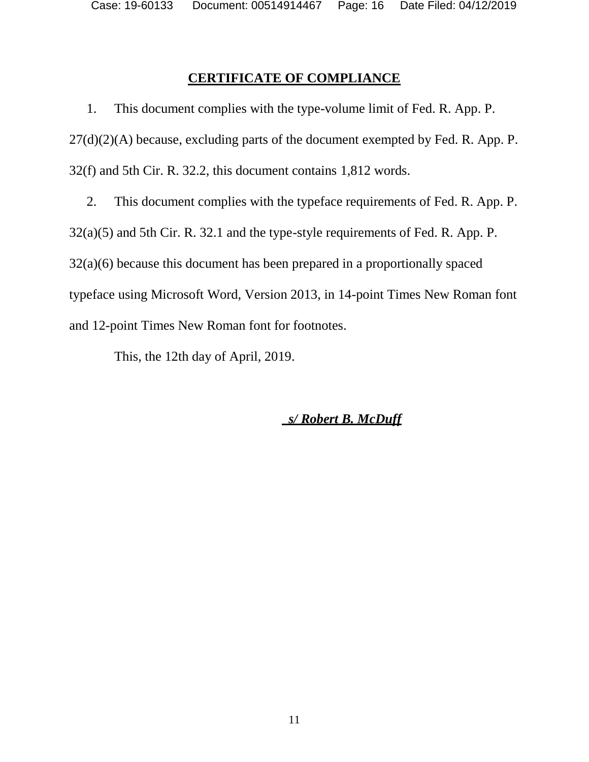Case: 19-60133 Document: 00514914467 Page: 16 Date Filed: 04/12/2019

## **CERTIFICATE OF COMPLIANCE**

1. This document complies with the type-volume limit of Fed. R. App. P.  $27(d)(2)(A)$  because, excluding parts of the document exempted by Fed. R. App. P. 32(f) and 5th Cir. R. 32.2, this document contains 1,812 words.

2. This document complies with the typeface requirements of Fed. R. App. P. 32(a)(5) and 5th Cir. R. 32.1 and the type-style requirements of Fed. R. App. P. 32(a)(6) because this document has been prepared in a proportionally spaced typeface using Microsoft Word, Version 2013, in 14-point Times New Roman font and 12-point Times New Roman font for footnotes.

This, the 12th day of April, 2019.

 *s/ Robert B. McDuff*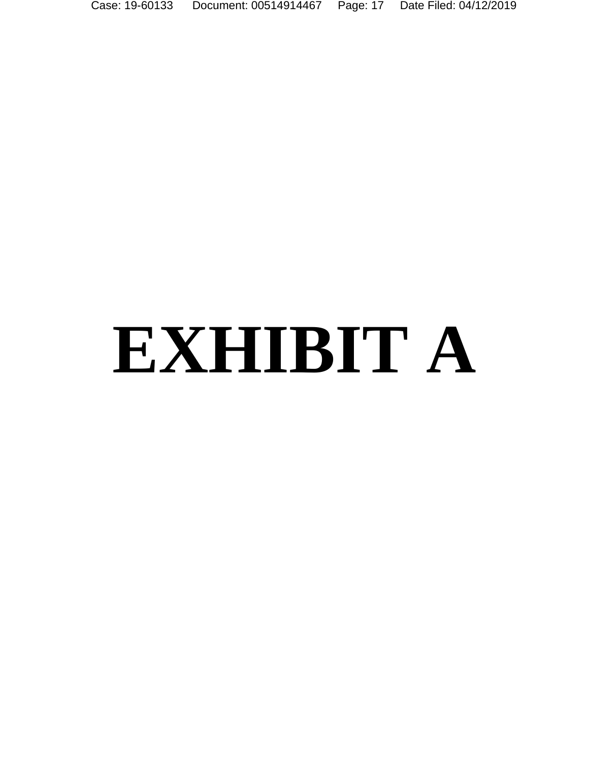Case: 19-60133 Document: 00514914467 Page: 17 Date Filed: 04/12/2019

# **EXHIBIT A**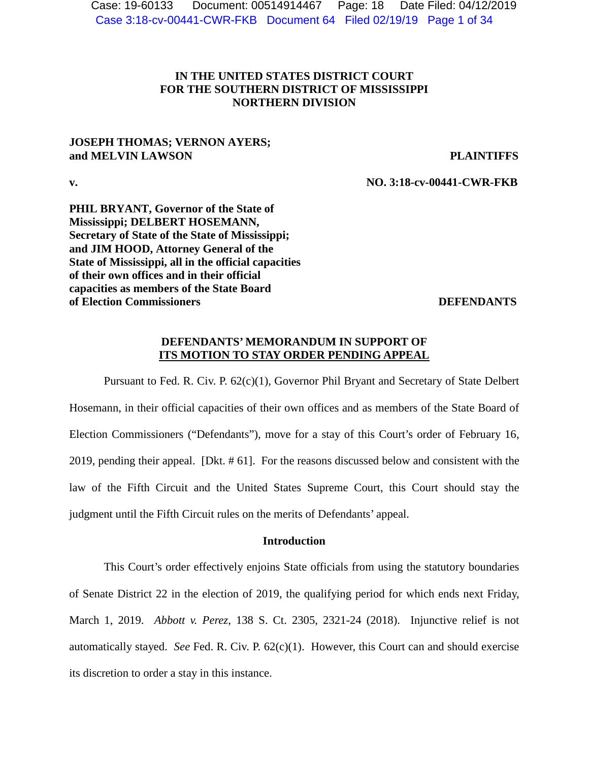Case 3:18-cv-00441-CWR-FKB Document 64 Filed 02/19/19 Page 1 of 34 Case: 19-60133 Document: 00514914467 Page: 18 Date Filed: 04/12/2019

## **IN THE UNITED STATES DISTRICT COURT FOR THE SOUTHERN DISTRICT OF MISSISSIPPI NORTHERN DIVISION**

## **JOSEPH THOMAS; VERNON AYERS; and MELVIN LAWSON PLAINTIFFS**

**v. NO. 3:18-cv-00441-CWR-FKB**

**PHIL BRYANT, Governor of the State of Mississippi; DELBERT HOSEMANN, Secretary of State of the State of Mississippi; and JIM HOOD, Attorney General of the State of Mississippi, all in the official capacities of their own offices and in their official capacities as members of the State Board of Election Commissioners** DEFENDANTS

## **DEFENDANTS' MEMORANDUM IN SUPPORT OF ITS MOTION TO STAY ORDER PENDING APPEAL**

Pursuant to Fed. R. Civ. P. 62(c)(1), Governor Phil Bryant and Secretary of State Delbert Hosemann, in their official capacities of their own offices and as members of the State Board of Election Commissioners ("Defendants"), move for a stay of this Court's order of February 16, 2019, pending their appeal. [Dkt. # 61]. For the reasons discussed below and consistent with the law of the Fifth Circuit and the United States Supreme Court, this Court should stay the judgment until the Fifth Circuit rules on the merits of Defendants' appeal.

## **Introduction**

This Court's order effectively enjoins State officials from using the statutory boundaries of Senate District 22 in the election of 2019, the qualifying period for which ends next Friday, March 1, 2019. *Abbott v. Perez*, 138 S. Ct. 2305, 2321-24 (2018). Injunctive relief is not automatically stayed. *See* Fed. R. Civ. P. 62(c)(1). However, this Court can and should exercise its discretion to order a stay in this instance.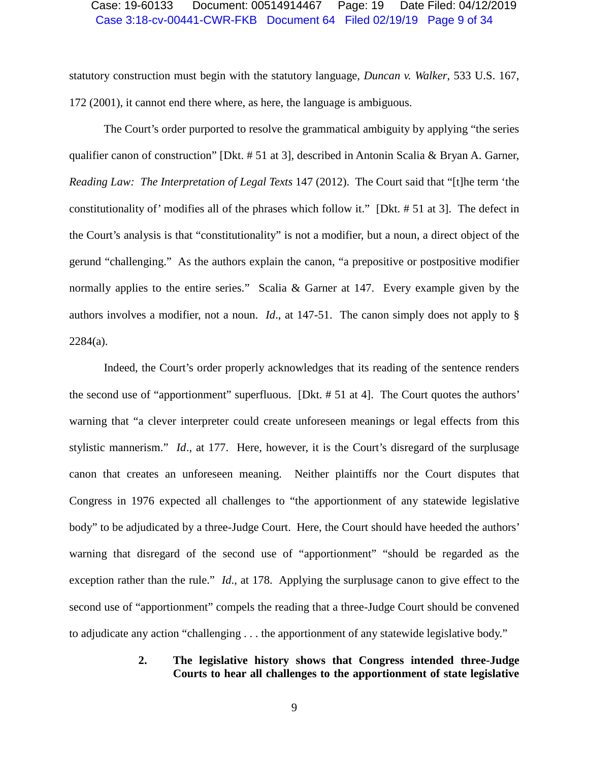## Case 3:18-cv-00441-CWR-FKB Document 64 Filed 02/19/19 Page 9 of 34 Case: 19-60133 Document: 00514914467 Page: 19 Date Filed: 04/12/2019

statutory construction must begin with the statutory language, *Duncan v. Walker*, 533 U.S. 167, 172 (2001), it cannot end there where, as here, the language is ambiguous.

The Court's order purported to resolve the grammatical ambiguity by applying "the series qualifier canon of construction" [Dkt. # 51 at 3], described in Antonin Scalia & Bryan A. Garner, *Reading Law: The Interpretation of Legal Texts* 147 (2012). The Court said that "[t]he term 'the constitutionality of' modifies all of the phrases which follow it." [Dkt. # 51 at 3]. The defect in the Court's analysis is that "constitutionality" is not a modifier, but a noun, a direct object of the gerund "challenging." As the authors explain the canon, "a prepositive or postpositive modifier normally applies to the entire series." Scalia & Garner at 147. Every example given by the authors involves a modifier, not a noun. *Id*., at 147-51. The canon simply does not apply to § 2284(a).

Indeed, the Court's order properly acknowledges that its reading of the sentence renders the second use of "apportionment" superfluous. [Dkt. # 51 at 4]. The Court quotes the authors' warning that "a clever interpreter could create unforeseen meanings or legal effects from this stylistic mannerism." *Id*., at 177. Here, however, it is the Court's disregard of the surplusage canon that creates an unforeseen meaning. Neither plaintiffs nor the Court disputes that Congress in 1976 expected all challenges to "the apportionment of any statewide legislative body" to be adjudicated by a three-Judge Court. Here, the Court should have heeded the authors' warning that disregard of the second use of "apportionment" "should be regarded as the exception rather than the rule." *Id*., at 178. Applying the surplusage canon to give effect to the second use of "apportionment" compels the reading that a three-Judge Court should be convened to adjudicate any action "challenging . . . the apportionment of any statewide legislative body."

## **2. The legislative history shows that Congress intended three-Judge Courts to hear all challenges to the apportionment of state legislative**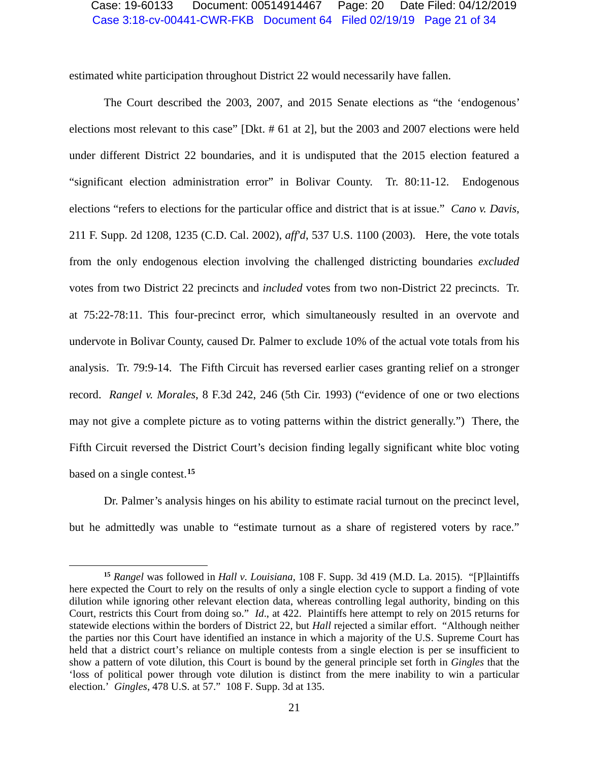## Case 3:18-cv-00441-CWR-FKB Document 64 Filed 02/19/19 Page 21 of 34 Case: 19-60133 Document: 00514914467 Page: 20 Date Filed: 04/12/2019

estimated white participation throughout District 22 would necessarily have fallen.

The Court described the 2003, 2007, and 2015 Senate elections as "the 'endogenous' elections most relevant to this case" [Dkt. # 61 at 2], but the 2003 and 2007 elections were held under different District 22 boundaries, and it is undisputed that the 2015 election featured a "significant election administration error" in Bolivar County. Tr. 80:11-12. Endogenous elections "refers to elections for the particular office and district that is at issue." *Cano v. Davis*, 211 F. Supp. 2d 1208, 1235 (C.D. Cal. 2002), *aff'd*, 537 U.S. 1100 (2003). Here, the vote totals from the only endogenous election involving the challenged districting boundaries *excluded* votes from two District 22 precincts and *included* votes from two non-District 22 precincts. Tr. at 75:22-78:11. This four-precinct error, which simultaneously resulted in an overvote and undervote in Bolivar County, caused Dr. Palmer to exclude 10% of the actual vote totals from his analysis. Tr. 79:9-14. The Fifth Circuit has reversed earlier cases granting relief on a stronger record. *Rangel v. Morales*, 8 F.3d 242, 246 (5th Cir. 1993) ("evidence of one or two elections may not give a complete picture as to voting patterns within the district generally.") There, the Fifth Circuit reversed the District Court's decision finding legally significant white bloc voting based on a single contest.**[15](#page-19-0)**

Dr. Palmer's analysis hinges on his ability to estimate racial turnout on the precinct level, but he admittedly was unable to "estimate turnout as a share of registered voters by race."

 $\overline{a}$ 

<span id="page-19-0"></span>**<sup>15</sup>** *Rangel* was followed in *Hall v. Louisiana*, 108 F. Supp. 3d 419 (M.D. La. 2015). "[P]laintiffs here expected the Court to rely on the results of only a single election cycle to support a finding of vote dilution while ignoring other relevant election data, whereas controlling legal authority, binding on this Court, restricts this Court from doing so." *Id*., at 422. Plaintiffs here attempt to rely on 2015 returns for statewide elections within the borders of District 22, but *Hall* rejected a similar effort. "Although neither the parties nor this Court have identified an instance in which a majority of the U.S. Supreme Court has held that a district court's reliance on multiple contests from a single election is per se insufficient to show a pattern of vote dilution, this Court is bound by the general principle set forth in *Gingles* that the 'loss of political power through vote dilution is distinct from the mere inability to win a particular election.' *Gingles*, 478 U.S. at 57." 108 F. Supp. 3d at 135.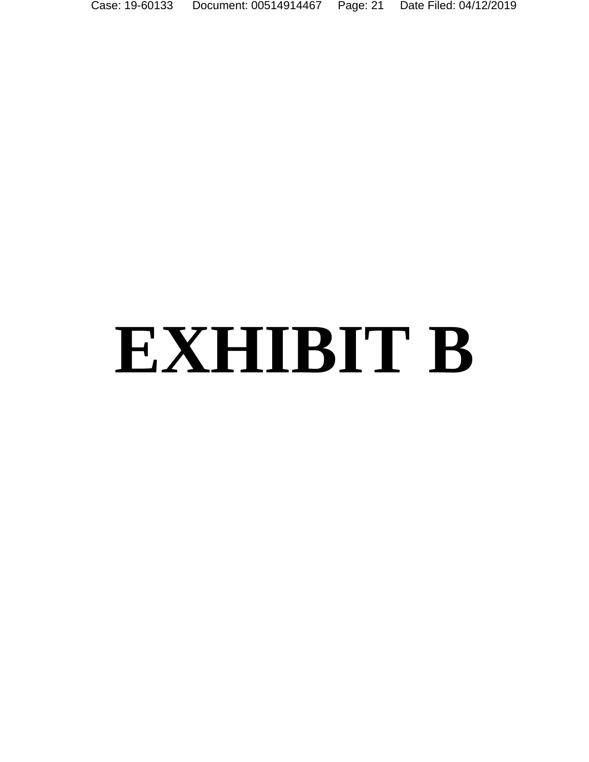Case: 19-60133 Document: 00514914467 Page: 21 Date Filed: 04/12/2019

# **EXHIBIT B**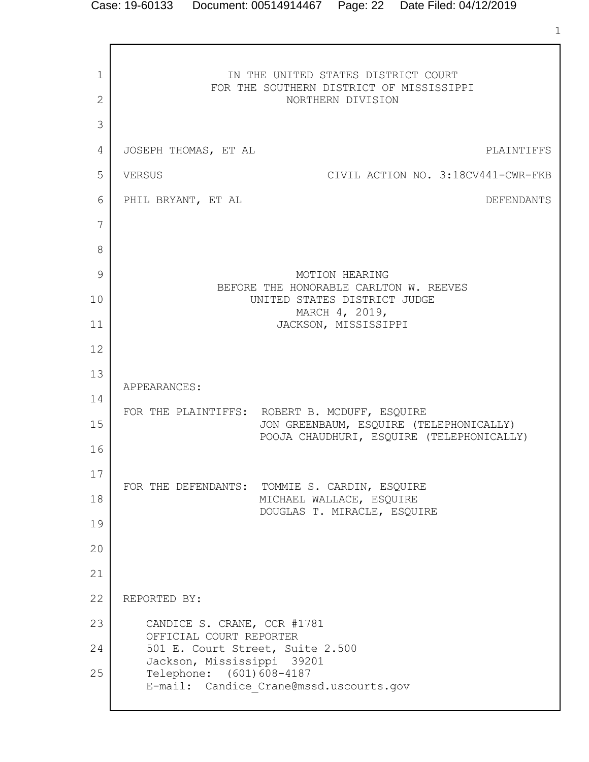1 2 3 4 5 6 7 8 9 10 11 12 13 14 15 16 17 18 19 20 21 22 23 24 25 IN THE UNITED STATES DISTRICT COURT FOR THE SOUTHERN DISTRICT OF MISSISSIPPI NORTHERN DIVISION JOSEPH THOMAS, ET AL PLAINTIFFS VERSUS CIVIL ACTION NO. 3:18CV441-CWR-FKB PHIL BRYANT, ET AL **DEFENDANTS** MOTION HEARING BEFORE THE HONORABLE CARLTON W. REEVES UNITED STATES DISTRICT JUDGE MARCH 4, 2019, JACKSON, MISSISSIPPI APPEARANCES: FOR THE PLAINTIFFS: ROBERT B. MCDUFF, ESQUIRE JON GREENBAUM, ESQUIRE (TELEPHONICALLY) POOJA CHAUDHURI, ESQUIRE (TELEPHONICALLY) FOR THE DEFENDANTS: TOMMIE S. CARDIN, ESQUIRE MICHAEL WALLACE, ESQUIRE DOUGLAS T. MIRACLE, ESQUIRE REPORTED BY: CANDICE S. CRANE, CCR #1781 OFFICIAL COURT REPORTER 501 E. Court Street, Suite 2.500 Jackson, Mississippi 39201 Telephone: (601)608-4187 E-mail: Candice\_Crane@mssd.uscourts.gov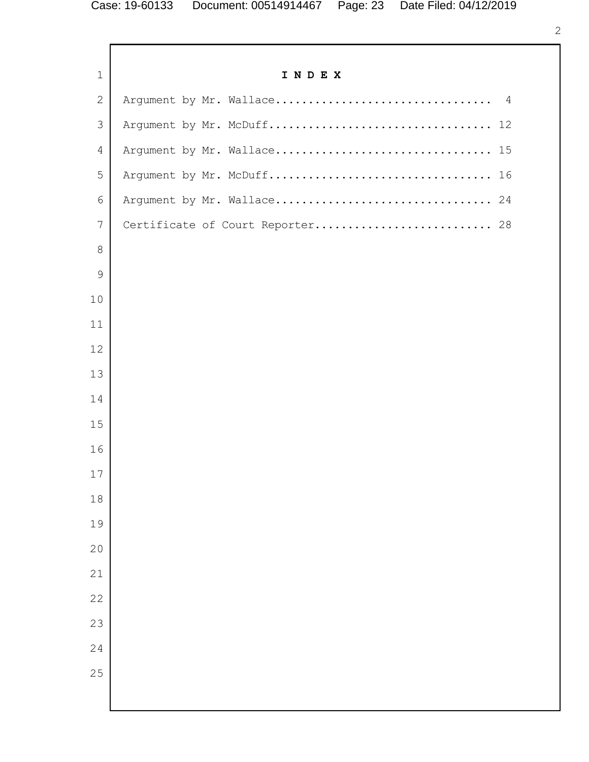Г

| $\mathbf{1}$    | INDEX                            |
|-----------------|----------------------------------|
| $\mathbf{2}$    |                                  |
| 3               |                                  |
| $\overline{4}$  |                                  |
| 5               |                                  |
| 6               |                                  |
| $7\overline{ }$ | Certificate of Court Reporter 28 |
| $\,8\,$         |                                  |
| $\mathcal{G}$   |                                  |
| 10              |                                  |
| 11              |                                  |
| 12              |                                  |
| 13              |                                  |
| 14              |                                  |
| 15              |                                  |
| 16              |                                  |
| 17              |                                  |
| 18              |                                  |
| 19              |                                  |
| 20              |                                  |
| 21              |                                  |
| 22              |                                  |
| 23              |                                  |
| 24              |                                  |
| 25              |                                  |
|                 |                                  |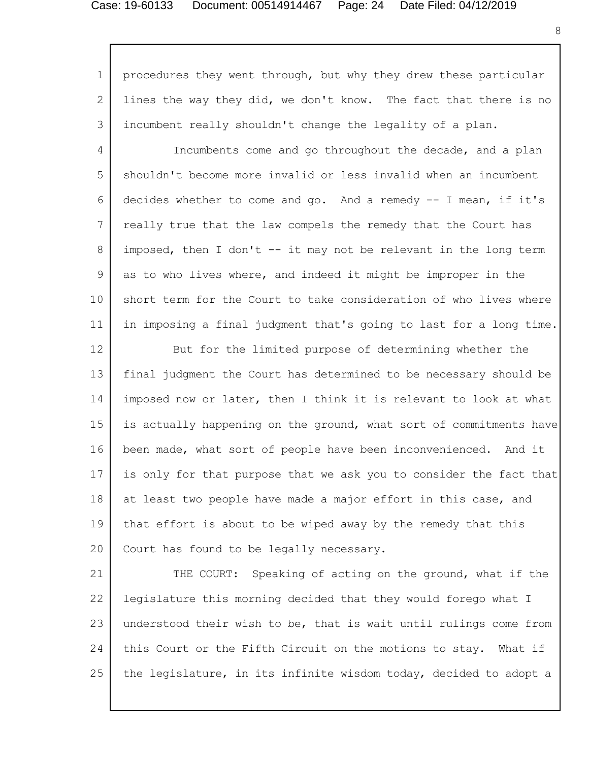### Case: 19-60133 Document: 00514914467 Page: 24 Date Filed: 04/12/2019

1 2 3 4 5 6 7 8 9 10 11 12 13 14 15 16 17 18 19 20 21 22 23 procedures they went through, but why they drew these particular lines the way they did, we don't know. The fact that there is no incumbent really shouldn't change the legality of a plan. Incumbents come and go throughout the decade, and a plan shouldn't become more invalid or less invalid when an incumbent decides whether to come and go. And a remedy  $-$ - I mean, if it's really true that the law compels the remedy that the Court has imposed, then I don't  $--$  it may not be relevant in the long term as to who lives where, and indeed it might be improper in the short term for the Court to take consideration of who lives where in imposing a final judgment that's going to last for a long time. But for the limited purpose of determining whether the final judgment the Court has determined to be necessary should be imposed now or later, then I think it is relevant to look at what is actually happening on the ground, what sort of commitments have been made, what sort of people have been inconvenienced. And it is only for that purpose that we ask you to consider the fact that at least two people have made a major effort in this case, and that effort is about to be wiped away by the remedy that this Court has found to be legally necessary. THE COURT: Speaking of acting on the ground, what if the legislature this morning decided that they would forego what I understood their wish to be, that is wait until rulings come from

25 the legislature, in its infinite wisdom today, decided to adopt a

this Court or the Fifth Circuit on the motions to stay. What if

24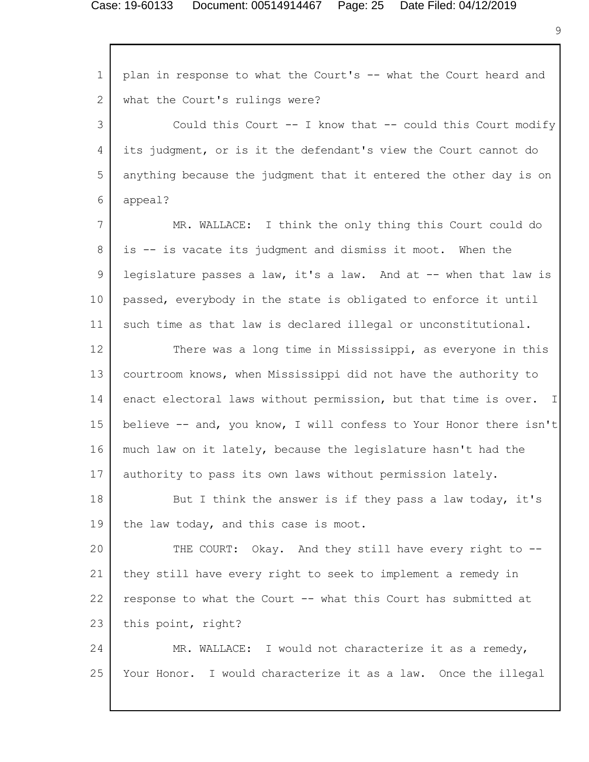1 2 3 4 5 6 7 8 9 10 11 12 13 14 15 16 17 18 19 20 21 22 23 24 25 plan in response to what the Court's -- what the Court heard and what the Court's rulings were? Could this Court -- I know that -- could this Court modify its judgment, or is it the defendant's view the Court cannot do anything because the judgment that it entered the other day is on appeal? MR. WALLACE: I think the only thing this Court could do is -- is vacate its judgment and dismiss it moot. When the legislature passes a law, it's a law. And at -- when that law is passed, everybody in the state is obligated to enforce it until such time as that law is declared illegal or unconstitutional. There was a long time in Mississippi, as everyone in this courtroom knows, when Mississippi did not have the authority to enact electoral laws without permission, but that time is over. I believe -- and, you know, I will confess to Your Honor there isn't much law on it lately, because the legislature hasn't had the authority to pass its own laws without permission lately. But I think the answer is if they pass a law today, it's the law today, and this case is moot. THE COURT: Okay. And they still have every right to -they still have every right to seek to implement a remedy in response to what the Court -- what this Court has submitted at this point, right? MR. WALLACE: I would not characterize it as a remedy, Your Honor. I would characterize it as a law. Once the illegal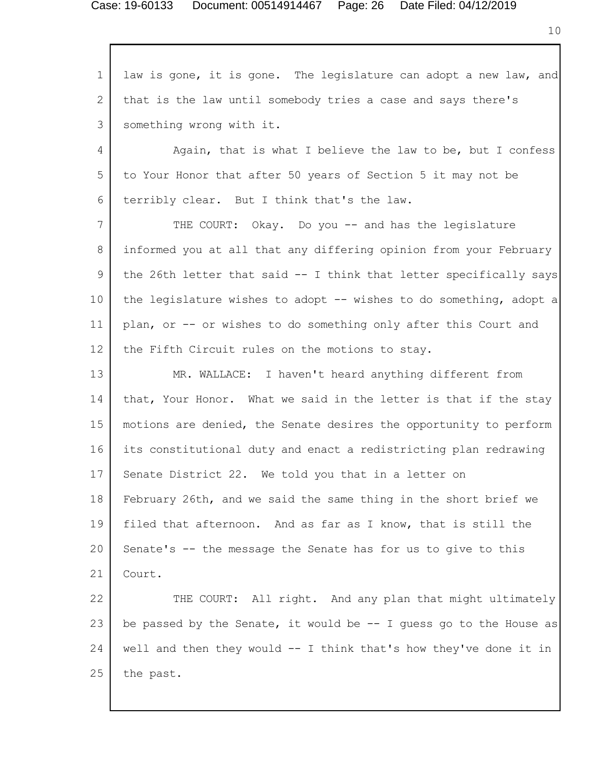1 2 3 4 5 6 7 8 9 10 11 12 13 14 15 16 17 18 19 20 21 22 23 24 25 law is gone, it is gone. The legislature can adopt a new law, and that is the law until somebody tries a case and says there's something wrong with it. Again, that is what I believe the law to be, but I confess to Your Honor that after 50 years of Section 5 it may not be terribly clear. But I think that's the law. THE COURT: Okay. Do you -- and has the legislature informed you at all that any differing opinion from your February the 26th letter that said -- I think that letter specifically says the legislature wishes to adopt -- wishes to do something, adopt a plan, or -- or wishes to do something only after this Court and the Fifth Circuit rules on the motions to stay. MR. WALLACE: I haven't heard anything different from that, Your Honor. What we said in the letter is that if the stay motions are denied, the Senate desires the opportunity to perform its constitutional duty and enact a redistricting plan redrawing Senate District 22. We told you that in a letter on February 26th, and we said the same thing in the short brief we filed that afternoon. And as far as I know, that is still the Senate's -- the message the Senate has for us to give to this Court. THE COURT: All right. And any plan that might ultimately be passed by the Senate, it would be  $-$ - I quess go to the House as well and then they would -- I think that's how they've done it in the past.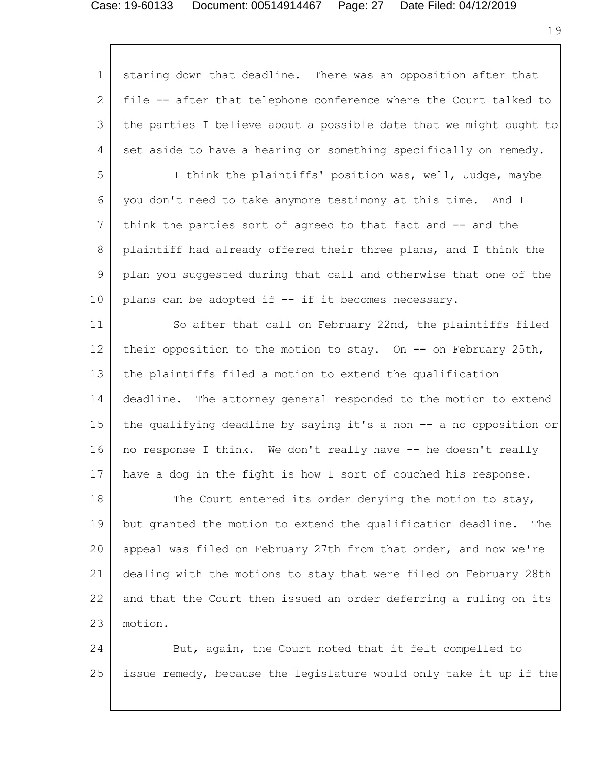## Case: 19-60133 Document: 00514914467 Page: 27 Date Filed: 04/12/2019

1 2 3 4 5 6 7 8 9 10 11 12 13 14 15 16 17 18 19 20 21 22 23 24 staring down that deadline. There was an opposition after that file -- after that telephone conference where the Court talked to the parties I believe about a possible date that we might ought to set aside to have a hearing or something specifically on remedy. I think the plaintiffs' position was, well, Judge, maybe you don't need to take anymore testimony at this time. And I think the parties sort of agreed to that fact and -- and the plaintiff had already offered their three plans, and I think the plan you suggested during that call and otherwise that one of the plans can be adopted if -- if it becomes necessary. So after that call on February 22nd, the plaintiffs filed their opposition to the motion to stay. On  $-$ - on February 25th, the plaintiffs filed a motion to extend the qualification deadline. The attorney general responded to the motion to extend the qualifying deadline by saying it's a non -- a no opposition or no response I think. We don't really have -- he doesn't really have a dog in the fight is how I sort of couched his response. The Court entered its order denying the motion to stay, but granted the motion to extend the qualification deadline. The appeal was filed on February 27th from that order, and now we're dealing with the motions to stay that were filed on February 28th and that the Court then issued an order deferring a ruling on its motion. But, again, the Court noted that it felt compelled to

issue remedy, because the legislature would only take it up if the

25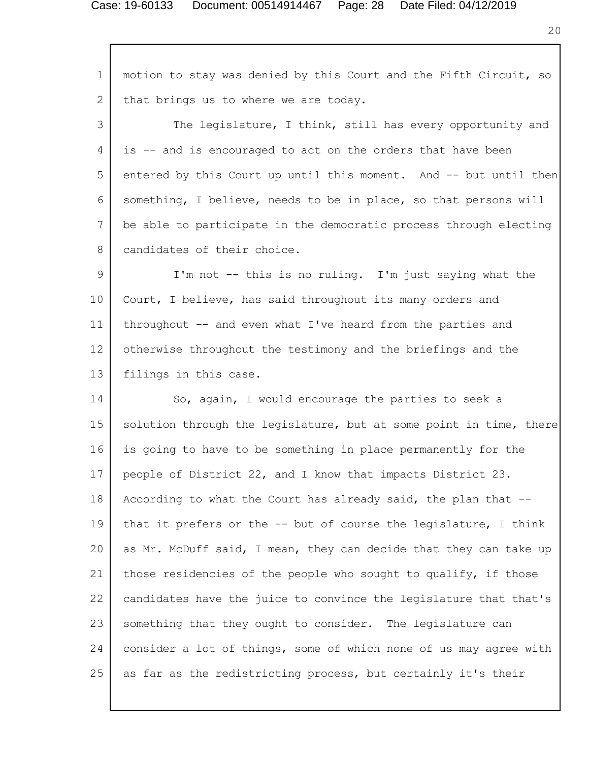### Case: 19-60133 Document: 00514914467 Page: 28 Date Filed: 04/12/2019

1 2 3 4 5 6 7 8 9 10 11 12 13 14 15 16 17 18 19 20 21 22 23 24 25 motion to stay was denied by this Court and the Fifth Circuit, so that brings us to where we are today. The legislature, I think, still has every opportunity and is -- and is encouraged to act on the orders that have been entered by this Court up until this moment. And -- but until then something, I believe, needs to be in place, so that persons will be able to participate in the democratic process through electing candidates of their choice. I'm not -- this is no ruling. I'm just saying what the Court, I believe, has said throughout its many orders and throughout -- and even what I've heard from the parties and otherwise throughout the testimony and the briefings and the filings in this case. So, again, I would encourage the parties to seek a solution through the legislature, but at some point in time, there is going to have to be something in place permanently for the people of District 22, and I know that impacts District 23. According to what the Court has already said, the plan that - that it prefers or the -- but of course the legislature, I think as Mr. McDuff said, I mean, they can decide that they can take up those residencies of the people who sought to qualify, if those candidates have the juice to convince the legislature that that's something that they ought to consider. The legislature can consider a lot of things, some of which none of us may agree with as far as the redistricting process, but certainly it's their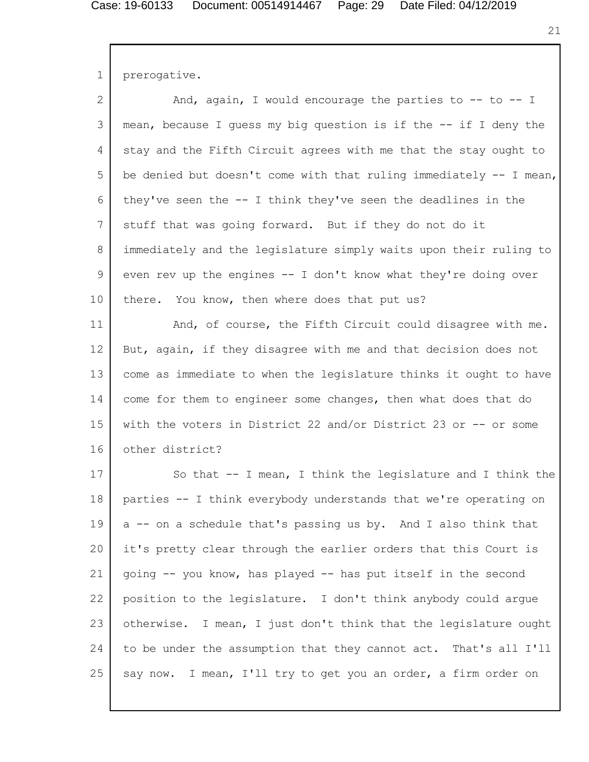21

1 prerogative.

| $\overline{2}$  | And, again, I would encourage the parties to -- to -- I             |
|-----------------|---------------------------------------------------------------------|
| 3               | mean, because I quess my big question is if the -- if I deny the    |
| 4               | stay and the Fifth Circuit agrees with me that the stay ought to    |
| 5               | be denied but doesn't come with that ruling immediately $-$ I mean, |
| 6               | they've seen the $-$ I think they've seen the deadlines in the      |
| $7\phantom{.0}$ | stuff that was going forward. But if they do not do it              |
| 8               | immediately and the legislature simply waits upon their ruling to   |
| 9               | even rev up the engines -- I don't know what they're doing over     |
| 10              | You know, then where does that put us?<br>there.                    |
| 11              | And, of course, the Fifth Circuit could disagree with me.           |
| 12              | But, again, if they disagree with me and that decision does not     |
| 13              | come as immediate to when the legislature thinks it ought to have   |
| 14              | come for them to engineer some changes, then what does that do      |
| 15              | with the voters in District 22 and/or District 23 or -- or some     |
| 16              | other district?                                                     |
| 17              | So that -- I mean, I think the legislature and I think the          |
| 18              | parties -- I think everybody understands that we're operating on    |
| 19              | a -- on a schedule that's passing us by. And I also think that      |
| 20              | it's pretty clear through the earlier orders that this Court is     |
| 21              | qoing -- you know, has played -- has put itself in the second       |
| 22              | position to the legislature. I don't think anybody could arque      |
| 23              | otherwise. I mean, I just don't think that the legislature ought    |
| 24              | to be under the assumption that they cannot act. That's all I'll    |
| 25              | I mean, I'll try to get you an order, a firm order on<br>say now.   |